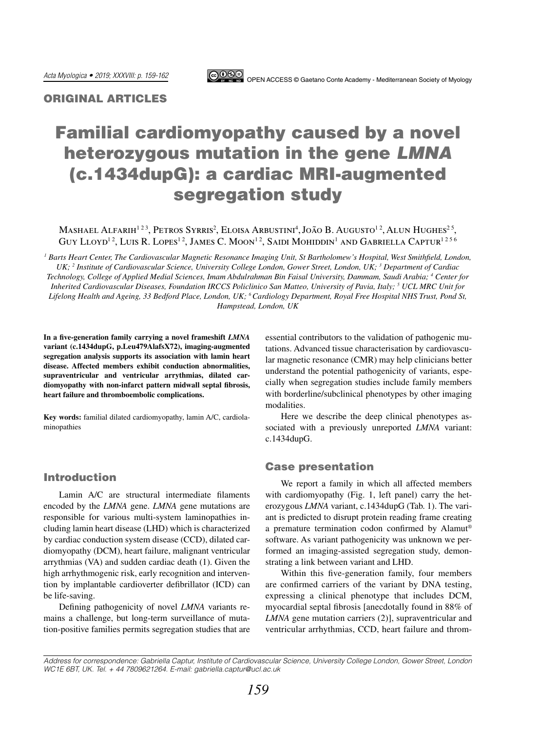

## ORIGINAL ARTICLES

# Familial cardiomyopathy caused by a novel heterozygous mutation in the gene *LMNA* (c.1434dupG): a cardiac MRI-augmented segregation study

Mashael Alfarih<sup>123</sup>, Petros Syrris<sup>2</sup>, Eloisa Arbustini<sup>4</sup>, João B. Augusto<sup>12</sup>, Alun Hughes<sup>25</sup>, Guy Lloyd<sup>12</sup>, Luis R. Lopes<sup>12</sup>, James C. Moon<sup>12</sup>, Saidi Mohiddin<sup>1</sup> and Gabriella Captur<sup>1256</sup>

*1 Barts Heart Center, The Cardiovascular Magnetic Resonance Imaging Unit, St Bartholomew's Hospital, West Smithfield, London,*  UK; <sup>2</sup> Institute of Cardiovascular Science, University College London, Gower Street, London, UK; <sup>3</sup> Department of Cardiac *Technology, College of Applied Medial Sciences, Imam Abdulrahman Bin Faisal University, Dammam, Saudi Arabia; 4 Center for Inherited Cardiovascular Diseases, Foundation IRCCS Policlinico San Matteo, University of Pavia, Italy; 5 UCL MRC Unit for Lifelong Health and Ageing, 33 Bedford Place, London, UK; 6 Cardiology Department, Royal Free Hospital NHS Trust, Pond St, Hampstead, London, UK*

**In a five-generation family carrying a novel frameshift** *LMNA* **variant (c.1434dupG, p.Leu479AlafsX72), imaging-augmented segregation analysis supports its association with lamin heart disease. Affected members exhibit conduction abnormalities, supraventricular and ventricular arrythmias, dilated cardiomyopathy with non-infarct pattern midwall septal fibrosis, heart failure and thromboembolic complications.** 

**Key words:** familial dilated cardiomyopathy, lamin A/C, cardiolaminopathies

## Introduction

Lamin A/C are structural intermediate filaments encoded by the *LMNA* gene. *LMNA* gene mutations are responsible for various multi-system laminopathies including lamin heart disease (LHD) which is characterized by cardiac conduction system disease (CCD), dilated cardiomyopathy (DCM), heart failure, malignant ventricular arrythmias (VA) and sudden cardiac death (1). Given the high arrhythmogenic risk, early recognition and intervention by implantable cardioverter defibrillator (ICD) can be life-saving.

Defining pathogenicity of novel *LMNA* variants remains a challenge, but long-term surveillance of mutation-positive families permits segregation studies that are essential contributors to the validation of pathogenic mutations. Advanced tissue characterisation by cardiovascular magnetic resonance (CMR) may help clinicians better understand the potential pathogenicity of variants, especially when segregation studies include family members with borderline/subclinical phenotypes by other imaging modalities.

Here we describe the deep clinical phenotypes associated with a previously unreported *LMNA* variant: c.1434dupG.

#### Case presentation

We report a family in which all affected members with cardiomyopathy (Fig. 1, left panel) carry the heterozygous *LMNA* variant, c.1434dupG (Tab. 1). The variant is predicted to disrupt protein reading frame creating a premature termination codon confirmed by Alamut® software. As variant pathogenicity was unknown we performed an imaging-assisted segregation study, demonstrating a link between variant and LHD.

Within this five-generation family, four members are confirmed carriers of the variant by DNA testing, expressing a clinical phenotype that includes DCM, myocardial septal fibrosis [anecdotally found in 88% of *LMNA* gene mutation carriers (2)], supraventricular and ventricular arrhythmias, CCD, heart failure and throm-

*Address for correspondence: Gabriella Captur, Institute of Cardiovascular Science, University College London, Gower Street, London WC1E 6BT, UK. Tel. + 44 7809621264. E-mail: [gabriella.captur@ucl.ac.uk](mailto:gabriella.captur.11@ucl.ac.uk)*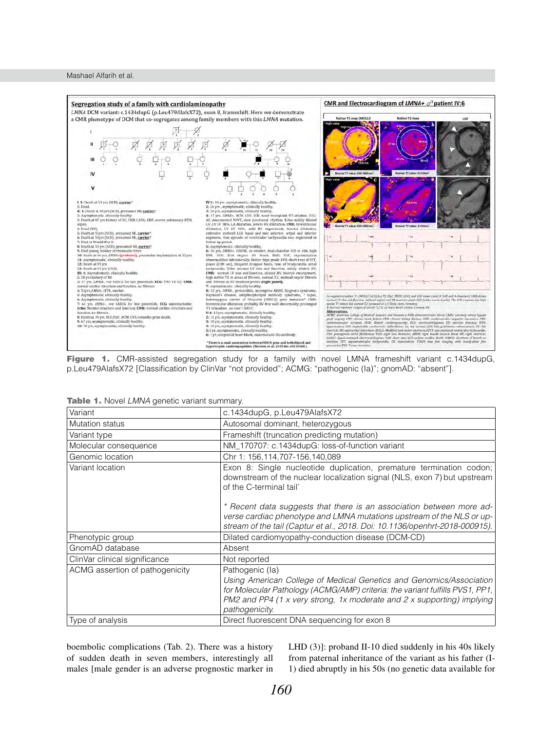

Figure 1. CMR-assisted segregation study for a family with novel LMNA frameshift variant c.1434dupG, p.Leu479AlafsX72 [Classification by ClinVar "not provided"; ACMG: "pathogenic (Ia)"; gnomAD: "absent"].

| Variant                         | c.1434dupG, p.Leu479AlafsX72                                                                                                                                                                                                                                       |  |  |  |  |  |
|---------------------------------|--------------------------------------------------------------------------------------------------------------------------------------------------------------------------------------------------------------------------------------------------------------------|--|--|--|--|--|
| <b>Mutation status</b>          | Autosomal dominant, heterozygous                                                                                                                                                                                                                                   |  |  |  |  |  |
| Variant type                    | Frameshift (truncation predicting mutation)                                                                                                                                                                                                                        |  |  |  |  |  |
| Molecular consequence           | NM_170707: c.1434dupG: loss-of-function variant                                                                                                                                                                                                                    |  |  |  |  |  |
| Genomic location                | Chr 1: 156, 114, 707-156, 140, 089                                                                                                                                                                                                                                 |  |  |  |  |  |
| Variant location                | Exon 8: Single nucleotide duplication, premature termination codon;<br>downstream of the nuclear localization signal (NLS, exon 7) but upstream<br>of the C-terminal tail*                                                                                         |  |  |  |  |  |
|                                 | * Recent data suggests that there is an association between more ad-<br>verse cardiac phenotype and LMNA mutations upstream of the NLS or up-<br>stream of the tail (Captur et al., 2018. Doi: 10.1136/openhrt-2018-000915).                                       |  |  |  |  |  |
| Phenotypic group                | Dilated cardiomyopathy-conduction disease (DCM-CD)                                                                                                                                                                                                                 |  |  |  |  |  |
| GnomAD database                 | Absent                                                                                                                                                                                                                                                             |  |  |  |  |  |
| ClinVar clinical significance   | Not reported                                                                                                                                                                                                                                                       |  |  |  |  |  |
| ACMG assertion of pathogenicity | Pathogenic (la)<br>Using American College of Medical Genetics and Genomics/Association<br>for Molecular Pathology (ACMG/AMP) criteria: the variant fulfills PVS1, PP1,<br>PM2 and PP4 (1 x very strong, 1x moderate and 2 x supporting) implying<br>pathogenicity. |  |  |  |  |  |
| Type of analysis                | Direct fluorescent DNA sequencing for exon 8                                                                                                                                                                                                                       |  |  |  |  |  |

Table 1. Novel *LMNA* genetic variant summary.

boembolic complications (Tab. 2). There was a history of sudden death in seven members, interestingly all males [male gender is an adverse prognostic marker in LHD (3)]: proband II-10 died suddenly in his 40s likely from paternal inheritance of the variant as his father (I-1) died abruptly in his 50s (no genetic data available for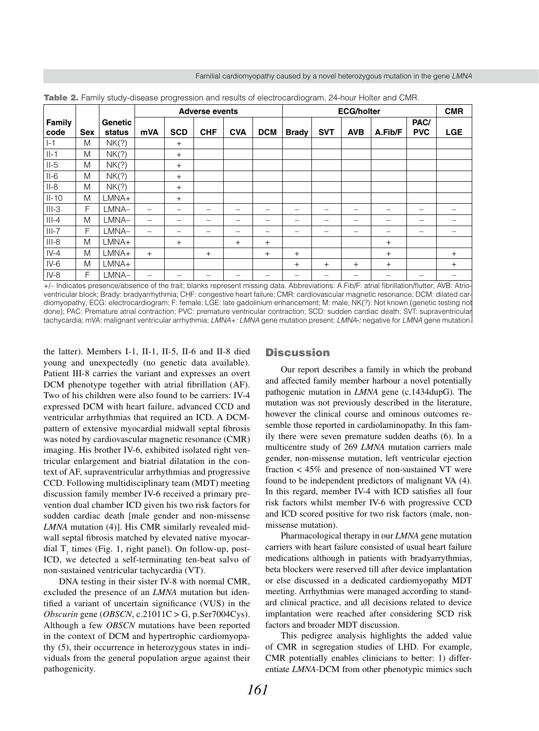Familial cardiomyopathy caused by a novel heterozygous mutation in the gene *LMNA*

|                       |            |                          | <b>Adverse events</b> |                          |            |            |            | <b>ECG/holter</b> |            |                          |         |                          | <b>CMR</b>      |
|-----------------------|------------|--------------------------|-----------------------|--------------------------|------------|------------|------------|-------------------|------------|--------------------------|---------|--------------------------|-----------------|
| <b>Family</b><br>code | <b>Sex</b> | <b>Genetic</b><br>status | mVA                   | <b>SCD</b>               | <b>CHF</b> | <b>CVA</b> | <b>DCM</b> | <b>Brady</b>      | <b>SVT</b> | <b>AVB</b>               | A.Fib/F | PAC/<br><b>PVC</b>       | <b>LGE</b>      |
| $I-1$                 | M          | NK(?)                    |                       | $+$                      |            |            |            |                   |            |                          |         |                          |                 |
| $II-1$                | M          | NK(?)                    |                       | $+$                      |            |            |            |                   |            |                          |         |                          |                 |
| $II-5$                | M          | NK(?)                    |                       | $+$                      |            |            |            |                   |            |                          |         |                          |                 |
| $II-6$                | M          | NK(?)                    |                       | $^{+}$                   |            |            |            |                   |            |                          |         |                          |                 |
| $II-8$                | M          | NK(?)                    |                       | $^{+}$                   |            |            |            |                   |            |                          |         |                          |                 |
| $II-10$               | M          | LMNA+                    |                       | $+$                      |            |            |            |                   |            |                          |         |                          |                 |
| $III-3$               | F          | LMNA-                    | $\qquad \qquad$       | $\overline{\phantom{0}}$ | -          | -          | -          | -                 | -          | $\overline{\phantom{m}}$ | -       | $\overline{\phantom{m}}$ | $\qquad \qquad$ |
| $III-4$               | M          | LMNA-                    |                       | -                        |            |            | -          |                   | -          | -                        |         | -                        |                 |
| $III-7$               | F          | LMNA-                    | $\qquad \qquad$       | -                        | -          | -          | -          | -                 | -          | $\overline{\phantom{m}}$ | –       | $\overline{\phantom{m}}$ |                 |
| $III-8$               | M          | LMNA+                    |                       | $+$                      |            | $^{+}$     | $+$        |                   |            |                          | $^{+}$  |                          |                 |
| $IV-4$                | M          | LMNA+                    | $+$                   |                          | $+$        |            | $+$        | $^{+}$            |            |                          | $^{+}$  |                          | $^{+}$          |
| $IV-6$                | M          | LMNA+                    |                       |                          |            |            |            | $^{+}$            | $+$        | $^{+}$                   | $+$     |                          | $^{+}$          |
| $IV-8$                | F          | LMNA-                    | -                     |                          |            |            |            |                   |            |                          |         | -                        | -               |

**Table 2.** Family study-disease progression and results of electrocardiogram, 24-hour Holter and CMR.

+/– Indicates presence/absence of the trait; blanks represent missing data. Abbreviations: A.Fib/F: atrial fibrillation/flutter; AVB: Atrioventricular block; Brady: bradyarrhythmia; CHF: congestive heart failure; CMR: cardiovascular magnetic resonance; DCM: dilated cardiomyopathy; ECG: electrocardiogram; F: female; LGE: late gadolinium enhancement; M: male; NK(?): Not known (genetic testing not done); PAC: Premature atrial contraction; PVC: premature ventricular contraction; SCD: sudden cardiac death; SVT: supraventricular tachycardia; mVA: malignant ventricular arrhythmia; *LMNA+: LMNA* gene mutation present; *LMNA-:* negative for *LMNA* gene mutation.

the latter). Members I-1, II-1, II-5, II-6 and II-8 died young and unexpectedly (no genetic data available). Patient III-8 carries the variant and expresses an overt DCM phenotype together with atrial fibrillation (AF). Two of his children were also found to be carriers: IV-4 expressed DCM with heart failure, advanced CCD and ventricular arrhythmias that required an ICD. A DCMpattern of extensive myocardial midwall septal fibrosis was noted by cardiovascular magnetic resonance (CMR) imaging. His brother IV-6, exhibited isolated right ventricular enlargement and biatrial dilatation in the context of AF, supraventricular arrhythmias and progressive CCD. Following multidisciplinary team (MDT) meeting discussion family member IV-6 received a primary prevention dual chamber ICD given his two risk factors for sudden cardiac death [male gender and non-missense *LMNA* mutation (4)]. His CMR similarly revealed midwall septal fibrosis matched by elevated native myocardial  $T_1$  times (Fig. 1, right panel). On follow-up, post-ICD, we detected a self-terminating ten-beat salvo of non-sustained ventricular tachycardia (VT).

DNA testing in their sister IV-8 with normal CMR, excluded the presence of an *LMNA* mutation but identified a variant of uncertain significance (VUS) in the *Obscurin* gene (*OBSCN*, c.21011C > G, p.Ser7004Cys). Although a few *OBSCN* mutations have been reported in the context of DCM and hypertrophic cardiomyopathy (5), their occurrence in heterozygous states in individuals from the general population argue against their pathogenicity.

#### **Discussion**

Our report describes a family in which the proband and affected family member harbour a novel potentially pathogenic mutation in *LMNA* gene (c.1434dupG). The mutation was not previously described in the literature, however the clinical course and ominous outcomes resemble those reported in cardiolaminopathy. In this family there were seven premature sudden deaths (6). In a multicentre study of 269 *LMNA* mutation carriers male gender, non-missense mutation, left ventricular ejection fraction < 45% and presence of non-sustained VT were found to be independent predictors of malignant VA (4). In this regard, member IV-4 with ICD satisfies all four risk factors whilst member IV-6 with progressive CCD and ICD scored positive for two risk factors (male, nonmissense mutation).

Pharmacological therapy in our *LMNA* gene mutation carriers with heart failure consisted of usual heart failure medications although in patients with bradyarrythmias, beta blockers were reserved till after device implantation or else discussed in a dedicated cardiomyopathy MDT meeting. Arrhythmias were managed according to standard clinical practice, and all decisions related to device implantation were reached after considering SCD risk factors and broader MDT discussion.

This pedigree analysis highlights the added value of CMR in segregation studies of LHD. For example, CMR potentially enables clinicians to better: 1) differentiate *LMNA*-DCM from other phenotypic mimics such